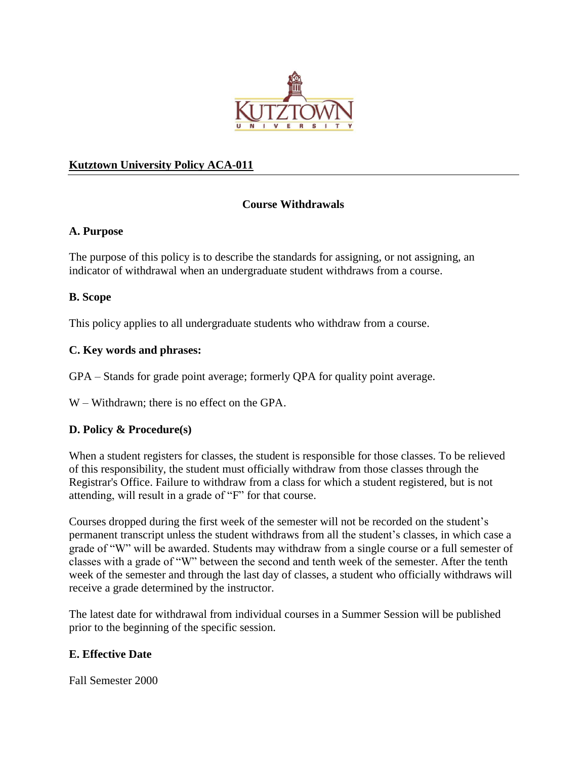

### **Kutztown University Policy ACA-011**

## **Course Withdrawals**

#### **A. Purpose**

The purpose of this policy is to describe the standards for assigning, or not assigning, an indicator of withdrawal when an undergraduate student withdraws from a course.

#### **B. Scope**

This policy applies to all undergraduate students who withdraw from a course.

#### **C. Key words and phrases:**

GPA – Stands for grade point average; formerly QPA for quality point average.

W – Withdrawn; there is no effect on the GPA.

#### **D. Policy & Procedure(s)**

When a student registers for classes, the student is responsible for those classes. To be relieved of this responsibility, the student must officially withdraw from those classes through the Registrar's Office. Failure to withdraw from a class for which a student registered, but is not attending, will result in a grade of "F" for that course.

Courses dropped during the first week of the semester will not be recorded on the student's permanent transcript unless the student withdraws from all the student's classes, in which case a grade of "W" will be awarded. Students may withdraw from a single course or a full semester of classes with a grade of "W" between the second and tenth week of the semester. After the tenth week of the semester and through the last day of classes, a student who officially withdraws will receive a grade determined by the instructor.

The latest date for withdrawal from individual courses in a Summer Session will be published prior to the beginning of the specific session.

#### **E. Effective Date**

Fall Semester 2000